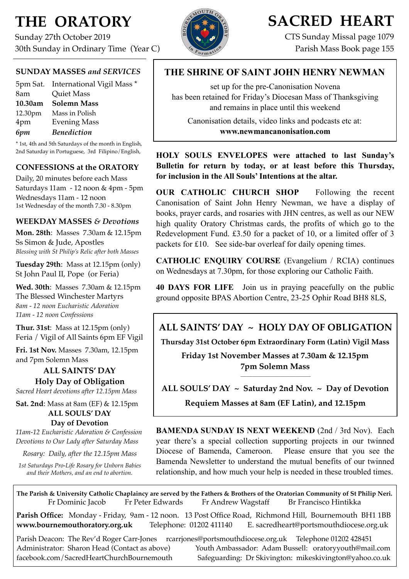# **THE ORATORY**

Sunday 27th October 2019 30th Sunday in Ordinary Time (Year C)

# **SACRED HEART**

CTS Sunday Missal page 1079 Parish Mass Book page 155

#### **SUNDAY MASSES** *and SERVICES*

|         | 5pm Sat. International Vigil Mass * |
|---------|-------------------------------------|
| 8am     | <b>Quiet Mass</b>                   |
| 10.30am | Solemn Mass                         |
| 12.30pm | Mass in Polish                      |
| 4pm     | <b>Evening Mass</b>                 |
| 6pm     | <b>Benediction</b>                  |

\* 1st, 4th and 5th Saturdays of the month in English, 2nd Saturday in Portuguese, 3rd Filipino/English,

#### **CONFESSIONS at the ORATORY**

Daily, 20 minutes before each Mass Saturdays 11am - 12 noon & 4pm - 5pm Wednesdays 11am - 12 noon 1st Wednesday of the month 7.30 - 8.30pm

#### **WEEKDAY MASSES** *& Devotions*

**Mon. 28th**: Masses 7.30am & 12.15pm Ss Simon & Jude, Apostles *Blessing with St Philip's Relic after both Masses*

**Tuesday 29th**: Mass at 12.15pm (only) St John Paul II, Pope (or Feria)

**Wed. 30th**: Masses7.30am & 12.15pm The Blessed Winchester Martyrs *8am - 12 noon Eucharistic Adoration 11am - 12 noon Confessions*

**Thur. 31st**: Mass at 12.15pm (only) Feria / Vigil of All Saints 6pm EF Vigil

**Fri. 1st Nov.** Masses 7.30am, 12.15pm and 7pm Solemn Mass

#### **ALL SAINTS' DAY Holy Day of Obligation**

*Sacred Heart devotions after 12.15pm Mass*

**Sat. 2nd**: Mass at 8am (EF) & 12.15pm **ALL SOULS' DAY Day of Devotion**

*11am-12 Eucharistic Adoration & Confession Devotions to Our Lady after Saturday Mass*

*Rosary: Daily, after the 12.15pm Mass*

*1st Saturdays Pro-Life Rosary for Unborn Babies and their Mothers, and an end to abortion.* 

### **THE SHRINE OF SAINT JOHN HENRY NEWMAN**

set up for the pre-Canonisation Novena has been retained for Friday's Diocesan Mass of Thanksgiving and remains in place until this weekend

Canonisation details, video links and podcasts etc at: **[www.newmancanonisation.com](http://www.newmancanonisation.com)** 

**HOLY SOULS ENVELOPES were attached to last Sunday's Bulletin for return by today, or at least before this Thursday, for inclusion in the All Souls' Intentions at the altar.** 

**OUR CATHOLIC CHURCH SHOP** Following the recent Canonisation of Saint John Henry Newman, we have a display of books, prayer cards, and rosaries with JHN centres, as well as our NEW high quality Oratory Christmas cards, the profits of which go to the Redevelopment Fund. £3.50 for a packet of 10, or a limited offer of 3 packets for £10. See side-bar overleaf for daily opening times.

**CATHOLIC ENQUIRY COURSE** (Evangelium / RCIA) continues on Wednesdays at 7.30pm, for those exploring our Catholic Faith.

**40 DAYS FOR LIFE** Join us in praying peacefully on the public ground opposite BPAS Abortion Centre, 23-25 Ophir Road BH8 8LS,

**ALL SAINTS' DAY ~ HOLY DAY OF OBLIGATION**

**Thursday 31st October 6pm Extraordinary Form (Latin) Vigil Mass**

**Friday 1st November Masses at 7.30am & 12.15pm 7pm Solemn Mass**

**\_\_\_\_\_\_\_\_\_\_\_\_\_\_\_\_\_\_\_\_\_\_\_\_\_\_\_\_\_\_\_\_\_\_ ALL SOULS' DAY ~ Saturday 2nd Nov. ~ Day of Devotion**

**Requiem Masses at 8am (EF Latin), and 12.15pm**

**BAMENDA SUNDAY IS NEXT WEEKEND** (2nd / 3rd Nov). Each year there's a special collection supporting projects in our twinned Diocese of Bamenda, Cameroon. Please ensure that you see the Bamenda Newsletter to understand the mutual benefits of our twinned relationship, and how much your help is needed in these troubled times.

**The Parish & University Catholic Chaplaincy are served by the Fathers & Brothers of the Oratorian Community of St Philip Neri.** Fr Dominic Jacob Fr Peter Edwards Fr Andrew Wagstaff Br Francisco Hintikka

**Parish Office:** Monday - Friday, 9am - 12 noon. 13 Post Office Road, Richmond Hill, Bournemouth BH1 1BB **[www.bournemouthoratory.org.uk](http://www.bournemoithoratory.org.uk)** Telephone: 01202 411140 E. [sacredheart@portsmouthdiocese.org.uk](mailto:sacredheart@portsmouthdiocese.org.uk)

Parish Deacon: The Rev'd Roger Carr-Jones [rcarrjones@portsmouthdiocese.org.uk](mailto:rcarrjones@portsmouthdiocese.org.uk) Telephone 01202 428451 Administrator: Sharon Head (Contact as above) Youth Ambassador: Adam Bussell: [oratoryyouth@mail.com](http://oratoryyouth.mail.com) [facebook.com/SacredHeartChurchBournemouth](http://facebook.com/SaccredHeartChurchBournemouth) Safeguarding: Dr Skivington: mikeskivington@yahoo.co.uk